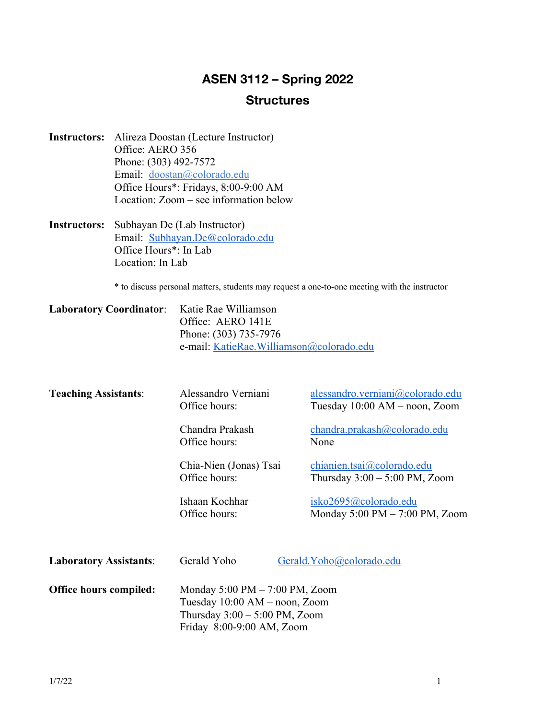# **ASEN 3112 – Spring 2022 Structures**

- **Instructors:** Alireza Doostan (Lecture Instructor) Office: AERO 356 Phone: (303) 492-7572 Email: doostan@colorado.edu Office Hours\*: Fridays, 8:00-9:00 AM Location: Zoom – see information below
- **Instructors:** Subhayan De (Lab Instructor) Email: Subhayan.De@colorado.edu Office Hours\*: In Lab Location: In Lab

\* to discuss personal matters, students may request a one-to-one meeting with the instructor

| Laboratory Coordinator: Katie Rae Williamson |                                          |
|----------------------------------------------|------------------------------------------|
|                                              | Office: AERO 141E                        |
|                                              | Phone: (303) 735-7976                    |
|                                              | e-mail: KatieRae.Williamson@colorado.edu |

| <b>Teaching Assistants:</b>   | Alessandro Verniani<br>Office hours:                                                                                                               | alessandro.verniani@colorado.edu<br>Tuesday $10:00$ AM – noon, Zoom        |
|-------------------------------|----------------------------------------------------------------------------------------------------------------------------------------------------|----------------------------------------------------------------------------|
|                               | Chandra Prakash<br>Office hours:                                                                                                                   | chandra.prakash@colorado.edu<br>None                                       |
|                               | Chia-Nien (Jonas) Tsai<br>Office hours:                                                                                                            | chianien.tsai@colorado.edu<br>Thursday $3:00 - 5:00$ PM, Zoom              |
|                               | Ishaan Kochhar<br>Office hours:                                                                                                                    | isko2695@colorado.edu<br>Monday $5:00 \text{ PM} - 7:00 \text{ PM}$ , Zoom |
| <b>Laboratory Assistants:</b> | Gerald Yoho                                                                                                                                        | Gerald. Yoho@colorado.edu                                                  |
| <b>Office hours compiled:</b> | Monday $5:00 \text{ PM} - 7:00 \text{ PM}$ , Zoom<br>Tuesday 10:00 AM – noon, Zoom<br>Thursday $3:00 - 5:00$ PM, Zoom<br>Friday 8:00-9:00 AM, Zoom |                                                                            |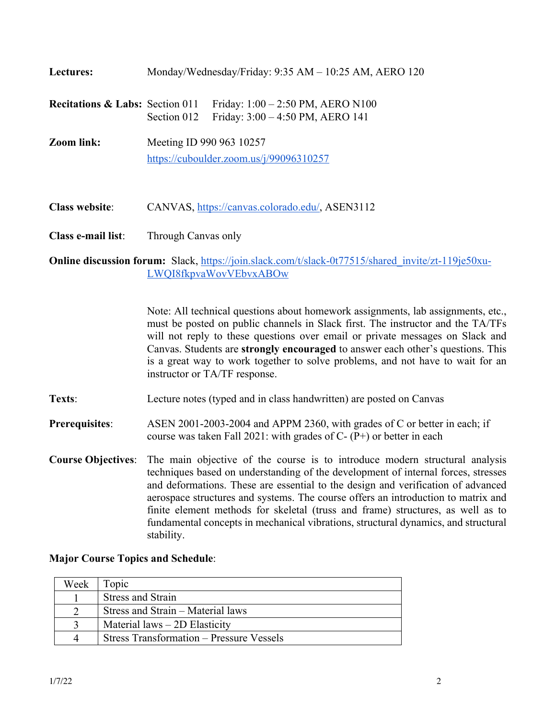| <b>Lectures:</b>                           | Monday/Wednesday/Friday: 9:35 AM - 10:25 AM, AERO 120                                  |  |
|--------------------------------------------|----------------------------------------------------------------------------------------|--|
| <b>Recitations &amp; Labs: Section 011</b> | Friday: $1:00 - 2:50$ PM, AERO N100<br>Friday: 3:00 - 4:50 PM, AERO 141<br>Section 012 |  |
| Zoom link:                                 | Meeting ID 990 963 10257<br>https://cuboulder.zoom.us/j/99096310257                    |  |

**Class e-mail list**: Through Canvas only

**Class website**: CANVAS, https://canvas.colorado.edu/, ASEN3112

# **Online discussion forum:** Slack, https://join.slack.com/t/slack-0t77515/shared\_invite/zt-119je50xu-LWQI8fkpvaWovVEbvxABOw

Note: All technical questions about homework assignments, lab assignments, etc., must be posted on public channels in Slack first. The instructor and the TA/TFs will not reply to these questions over email or private messages on Slack and Canvas. Students are **strongly encouraged** to answer each other's questions. This is a great way to work together to solve problems, and not have to wait for an instructor or TA/TF response.

**Texts**: Lecture notes (typed and in class handwritten) are posted on Canvas

#### **Prerequisites**: ASEN 2001-2003-2004 and APPM 2360, with grades of C or better in each; if course was taken Fall 2021: with grades of C- (P+) or better in each

**Course Objectives**: The main objective of the course is to introduce modern structural analysis techniques based on understanding of the development of internal forces, stresses and deformations. These are essential to the design and verification of advanced aerospace structures and systems. The course offers an introduction to matrix and finite element methods for skeletal (truss and frame) structures, as well as to fundamental concepts in mechanical vibrations, structural dynamics, and structural stability.

#### **Major Course Topics and Schedule**:

| Week | l'opic                                          |
|------|-------------------------------------------------|
|      | <b>Stress and Strain</b>                        |
|      | Stress and Strain – Material laws               |
|      | Material $laws - 2D$ Elasticity                 |
|      | <b>Stress Transformation – Pressure Vessels</b> |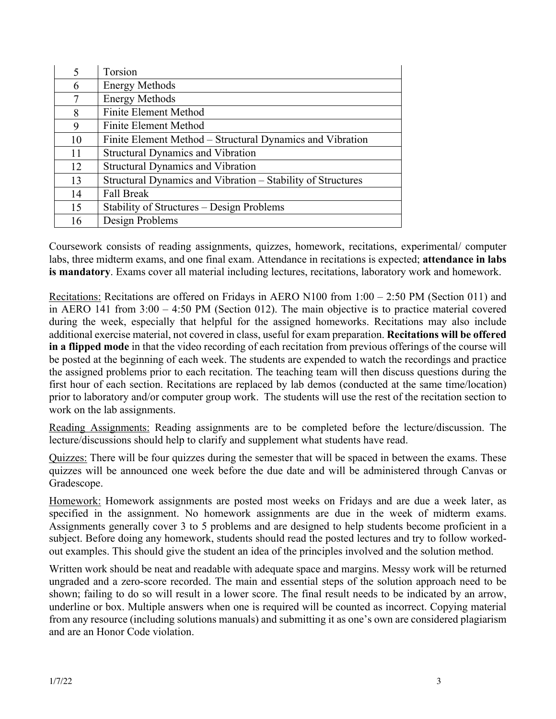| $\overline{\mathcal{L}}$ | Torsion                                                     |
|--------------------------|-------------------------------------------------------------|
| 6                        | <b>Energy Methods</b>                                       |
| 7                        | <b>Energy Methods</b>                                       |
| 8                        | <b>Finite Element Method</b>                                |
| 9                        | Finite Element Method                                       |
| 10                       | Finite Element Method – Structural Dynamics and Vibration   |
| 11                       | <b>Structural Dynamics and Vibration</b>                    |
| 12                       | <b>Structural Dynamics and Vibration</b>                    |
| 13                       | Structural Dynamics and Vibration - Stability of Structures |
| 14                       | <b>Fall Break</b>                                           |
| 15                       | Stability of Structures – Design Problems                   |
| 16                       | Design Problems                                             |

Coursework consists of reading assignments, quizzes, homework, recitations, experimental/ computer labs, three midterm exams, and one final exam. Attendance in recitations is expected; **attendance in labs is mandatory**. Exams cover all material including lectures, recitations, laboratory work and homework.

Recitations: Recitations are offered on Fridays in AERO N100 from 1:00 – 2:50 PM (Section 011) and in AERO 141 from 3:00 – 4:50 PM (Section 012). The main objective is to practice material covered during the week, especially that helpful for the assigned homeworks. Recitations may also include additional exercise material, not covered in class, useful for exam preparation. **Recitations will be offered in a flipped mode** in that the video recording of each recitation from previous offerings of the course will be posted at the beginning of each week. The students are expended to watch the recordings and practice the assigned problems prior to each recitation. The teaching team will then discuss questions during the first hour of each section. Recitations are replaced by lab demos (conducted at the same time/location) prior to laboratory and/or computer group work. The students will use the rest of the recitation section to work on the lab assignments.

Reading Assignments: Reading assignments are to be completed before the lecture/discussion. The lecture/discussions should help to clarify and supplement what students have read.

Quizzes: There will be four quizzes during the semester that will be spaced in between the exams. These quizzes will be announced one week before the due date and will be administered through Canvas or Gradescope.

Homework: Homework assignments are posted most weeks on Fridays and are due a week later, as specified in the assignment. No homework assignments are due in the week of midterm exams. Assignments generally cover 3 to 5 problems and are designed to help students become proficient in a subject. Before doing any homework, students should read the posted lectures and try to follow workedout examples. This should give the student an idea of the principles involved and the solution method.

Written work should be neat and readable with adequate space and margins. Messy work will be returned ungraded and a zero-score recorded. The main and essential steps of the solution approach need to be shown; failing to do so will result in a lower score. The final result needs to be indicated by an arrow, underline or box. Multiple answers when one is required will be counted as incorrect. Copying material from any resource (including solutions manuals) and submitting it as one's own are considered plagiarism and are an Honor Code violation.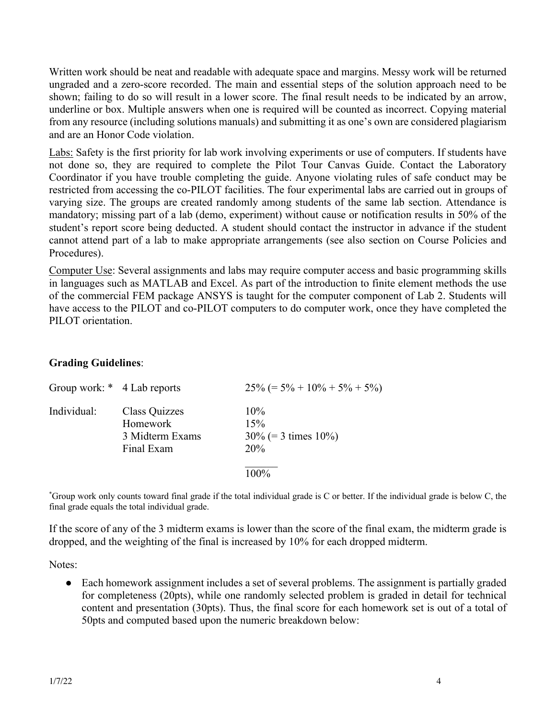Written work should be neat and readable with adequate space and margins. Messy work will be returned ungraded and a zero-score recorded. The main and essential steps of the solution approach need to be shown; failing to do so will result in a lower score. The final result needs to be indicated by an arrow, underline or box. Multiple answers when one is required will be counted as incorrect. Copying material from any resource (including solutions manuals) and submitting it as one's own are considered plagiarism and are an Honor Code violation.

Labs: Safety is the first priority for lab work involving experiments or use of computers. If students have not done so, they are required to complete the Pilot Tour Canvas Guide. Contact the Laboratory Coordinator if you have trouble completing the guide. Anyone violating rules of safe conduct may be restricted from accessing the co-PILOT facilities. The four experimental labs are carried out in groups of varying size. The groups are created randomly among students of the same lab section. Attendance is mandatory; missing part of a lab (demo, experiment) without cause or notification results in 50% of the student's report score being deducted. A student should contact the instructor in advance if the student cannot attend part of a lab to make appropriate arrangements (see also section on Course Policies and Procedures).

Computer Use: Several assignments and labs may require computer access and basic programming skills in languages such as MATLAB and Excel. As part of the introduction to finite element methods the use of the commercial FEM package ANSYS is taught for the computer component of Lab 2. Students will have access to the PILOT and co-PILOT computers to do computer work, once they have completed the PILOT orientation.

# **Grading Guidelines**:

| Group work: * 4 Lab reports |                                                            | $25\% (= 5\% + 10\% + 5\% + 5\%)$              |
|-----------------------------|------------------------------------------------------------|------------------------------------------------|
| Individual:                 | Class Quizzes<br>Homework<br>3 Midterm Exams<br>Final Exam | $10\%$<br>15%<br>$30\%$ (= 3 times 10%)<br>20% |
|                             |                                                            |                                                |

\* Group work only counts toward final grade if the total individual grade is C or better. If the individual grade is below C, the final grade equals the total individual grade.

If the score of any of the 3 midterm exams is lower than the score of the final exam, the midterm grade is dropped, and the weighting of the final is increased by 10% for each dropped midterm.

Notes:

• Each homework assignment includes a set of several problems. The assignment is partially graded for completeness (20pts), while one randomly selected problem is graded in detail for technical content and presentation (30pts). Thus, the final score for each homework set is out of a total of 50pts and computed based upon the numeric breakdown below: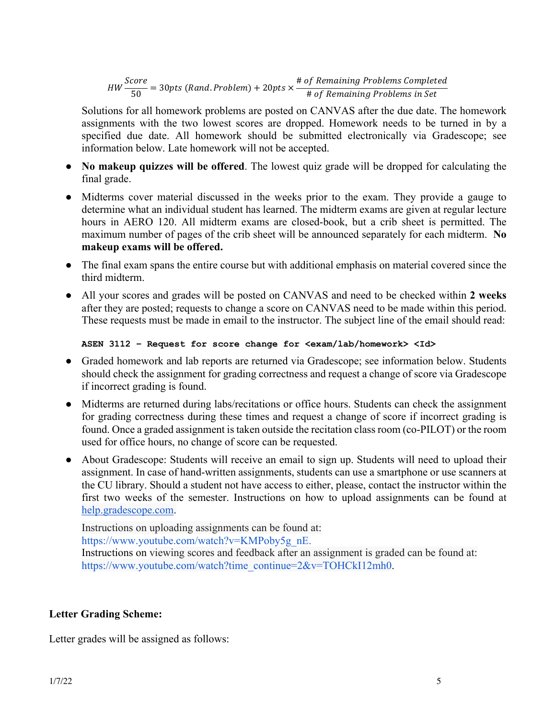$HW \frac{Score}{50} = 30 \text{pts (Rand. Problem)} + 20 \text{pts} \times \frac{\text{# of Remaining Problems Completed}}{\text{# of Remaining Problems in Set}}$ # of Remaining Problems in Set

Solutions for all homework problems are posted on CANVAS after the due date. The homework assignments with the two lowest scores are dropped. Homework needs to be turned in by a specified due date. All homework should be submitted electronically via Gradescope; see information below. Late homework will not be accepted.

- **No makeup quizzes will be offered**. The lowest quiz grade will be dropped for calculating the final grade.
- Midterms cover material discussed in the weeks prior to the exam. They provide a gauge to determine what an individual student has learned. The midterm exams are given at regular lecture hours in AERO 120. All midterm exams are closed-book, but a crib sheet is permitted. The maximum number of pages of the crib sheet will be announced separately for each midterm. **No makeup exams will be offered.**
- The final exam spans the entire course but with additional emphasis on material covered since the third midterm.
- All your scores and grades will be posted on CANVAS and need to be checked within **2 weeks** after they are posted; requests to change a score on CANVAS need to be made within this period. These requests must be made in email to the instructor. The subject line of the email should read:

```
ASEN 3112 – Request for score change for <exam/lab/homework> <Id>
```
- Graded homework and lab reports are returned via Gradescope; see information below. Students should check the assignment for grading correctness and request a change of score via Gradescope if incorrect grading is found.
- Midterms are returned during labs/recitations or office hours. Students can check the assignment for grading correctness during these times and request a change of score if incorrect grading is found. Once a graded assignment is taken outside the recitation class room (co-PILOT) or the room used for office hours, no change of score can be requested.
- About Gradescope: Students will receive an email to sign up. Students will need to upload their assignment. In case of hand-written assignments, students can use a smartphone or use scanners at the CU library. Should a student not have access to either, please, contact the instructor within the first two weeks of the semester. Instructions on how to upload assignments can be found at help.gradescope.com.

Instructions on uploading assignments can be found at: https://www.youtube.com/watch?v=KMPoby5g\_nE. Instructions on viewing scores and feedback after an assignment is graded can be found at: https://www.youtube.com/watch?time\_continue=2&v=TOHCkI12mh0.

# **Letter Grading Scheme:**

Letter grades will be assigned as follows: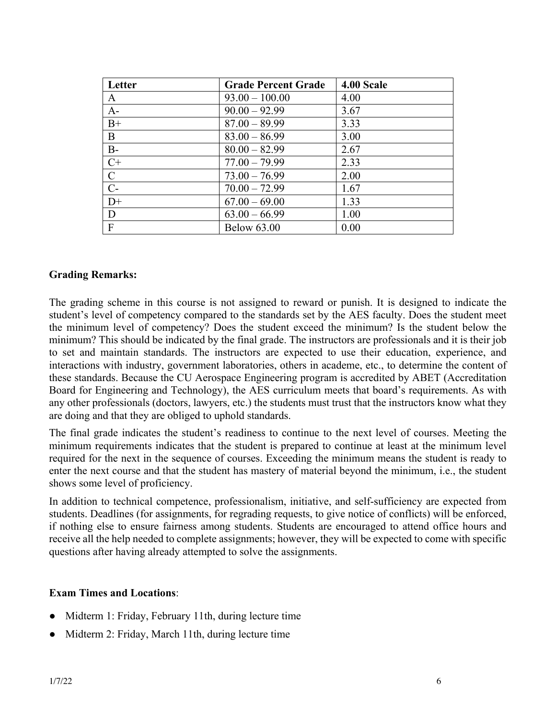| Letter         | <b>Grade Percent Grade</b> | 4.00 Scale |
|----------------|----------------------------|------------|
| A              | $93.00 - 100.00$           | 4.00       |
| $A-$           | $90.00 - 92.99$            | 3.67       |
| $B+$           | $87.00 - 89.99$            | 3.33       |
| B              | $83.00 - 86.99$            | 3.00       |
| $B -$          | $80.00 - 82.99$            | 2.67       |
| $C+$           | $77.00 - 79.99$            | 2.33       |
| $\mathbf C$    | $73.00 - 76.99$            | 2.00       |
| $C-$           | $70.00 - 72.99$            | 1.67       |
| $D+$           | $67.00 - 69.00$            | 1.33       |
| D              | $63.00 - 66.99$            | 1.00       |
| $\overline{F}$ | <b>Below 63.00</b>         | 0.00       |

#### **Grading Remarks:**

The grading scheme in this course is not assigned to reward or punish. It is designed to indicate the student's level of competency compared to the standards set by the AES faculty. Does the student meet the minimum level of competency? Does the student exceed the minimum? Is the student below the minimum? This should be indicated by the final grade. The instructors are professionals and it is their job to set and maintain standards. The instructors are expected to use their education, experience, and interactions with industry, government laboratories, others in academe, etc., to determine the content of these standards. Because the CU Aerospace Engineering program is accredited by ABET (Accreditation Board for Engineering and Technology), the AES curriculum meets that board's requirements. As with any other professionals (doctors, lawyers, etc.) the students must trust that the instructors know what they are doing and that they are obliged to uphold standards.

The final grade indicates the student's readiness to continue to the next level of courses. Meeting the minimum requirements indicates that the student is prepared to continue at least at the minimum level required for the next in the sequence of courses. Exceeding the minimum means the student is ready to enter the next course and that the student has mastery of material beyond the minimum, i.e., the student shows some level of proficiency.

In addition to technical competence, professionalism, initiative, and self-sufficiency are expected from students. Deadlines (for assignments, for regrading requests, to give notice of conflicts) will be enforced, if nothing else to ensure fairness among students. Students are encouraged to attend office hours and receive all the help needed to complete assignments; however, they will be expected to come with specific questions after having already attempted to solve the assignments.

#### **Exam Times and Locations**:

- Midterm 1: Friday, February 11th, during lecture time
- Midterm 2: Friday, March 11th, during lecture time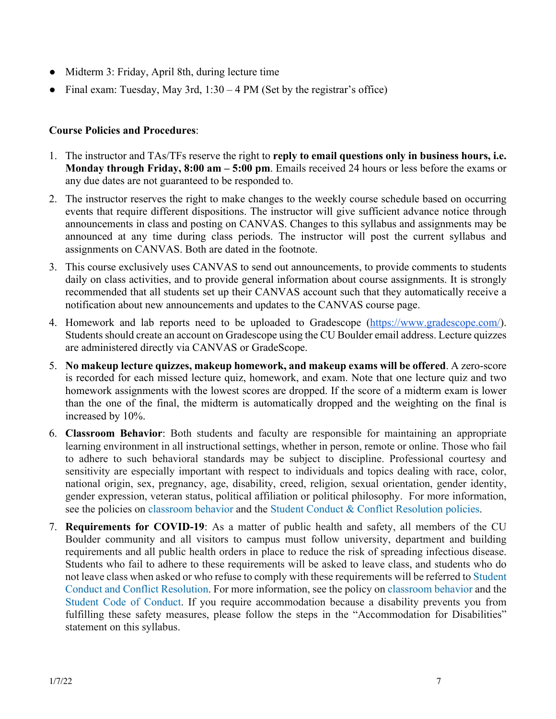- Midterm 3: Friday, April 8th, during lecture time
- Final exam: Tuesday, May 3rd,  $1:30 4$  PM (Set by the registrar's office)

# **Course Policies and Procedures**:

- 1. The instructor and TAs/TFs reserve the right to **reply to email questions only in business hours, i.e. Monday through Friday, 8:00 am – 5:00 pm**. Emails received 24 hours or less before the exams or any due dates are not guaranteed to be responded to.
- 2. The instructor reserves the right to make changes to the weekly course schedule based on occurring events that require different dispositions. The instructor will give sufficient advance notice through announcements in class and posting on CANVAS. Changes to this syllabus and assignments may be announced at any time during class periods. The instructor will post the current syllabus and assignments on CANVAS. Both are dated in the footnote.
- 3. This course exclusively uses CANVAS to send out announcements, to provide comments to students daily on class activities, and to provide general information about course assignments. It is strongly recommended that all students set up their CANVAS account such that they automatically receive a notification about new announcements and updates to the CANVAS course page.
- 4. Homework and lab reports need to be uploaded to Gradescope (https://www.gradescope.com/). Students should create an account on Gradescope using the CU Boulder email address. Lecture quizzes are administered directly via CANVAS or GradeScope.
- 5. **No makeup lecture quizzes, makeup homework, and makeup exams will be offered**. A zero-score is recorded for each missed lecture quiz, homework, and exam. Note that one lecture quiz and two homework assignments with the lowest scores are dropped. If the score of a midterm exam is lower than the one of the final, the midterm is automatically dropped and the weighting on the final is increased by 10%.
- 6. **Classroom Behavior**: Both students and faculty are responsible for maintaining an appropriate learning environment in all instructional settings, whether in person, remote or online. Those who fail to adhere to such behavioral standards may be subject to discipline. Professional courtesy and sensitivity are especially important with respect to individuals and topics dealing with race, color, national origin, sex, pregnancy, age, disability, creed, religion, sexual orientation, gender identity, gender expression, veteran status, political affiliation or political philosophy. For more information, see the policies on classroom behavior and the Student Conduct & Conflict Resolution policies.
- 7. **Requirements for COVID-19**: As a matter of public health and safety, all members of the CU Boulder community and all visitors to campus must follow university, department and building requirements and all public health orders in place to reduce the risk of spreading infectious disease. Students who fail to adhere to these requirements will be asked to leave class, and students who do not leave class when asked or who refuse to comply with these requirements will be referred to Student Conduct and Conflict Resolution. For more information, see the policy on classroom behavior and the Student Code of Conduct. If you require accommodation because a disability prevents you from fulfilling these safety measures, please follow the steps in the "Accommodation for Disabilities" statement on this syllabus.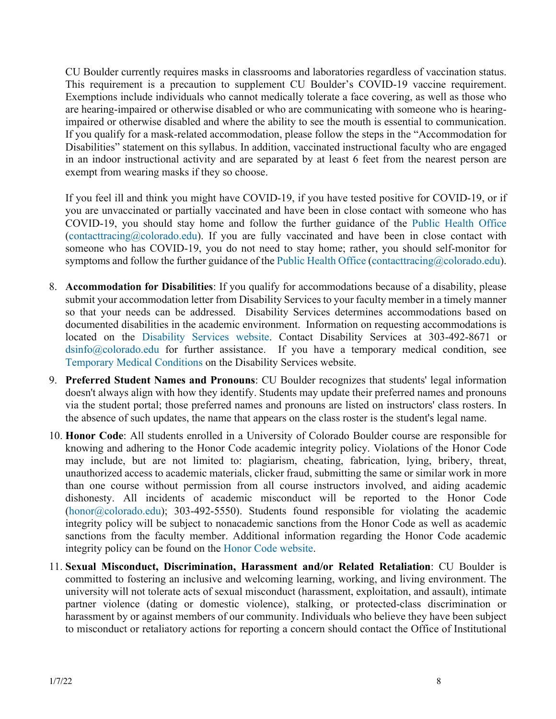CU Boulder currently requires masks in classrooms and laboratories regardless of vaccination status. This requirement is a precaution to supplement CU Boulder's COVID-19 vaccine requirement. Exemptions include individuals who cannot medically tolerate a face covering, as well as those who are hearing-impaired or otherwise disabled or who are communicating with someone who is hearingimpaired or otherwise disabled and where the ability to see the mouth is essential to communication. If you qualify for a mask-related accommodation, please follow the steps in the "Accommodation for Disabilities" statement on this syllabus. In addition, vaccinated instructional faculty who are engaged in an indoor instructional activity and are separated by at least 6 feet from the nearest person are exempt from wearing masks if they so choose.

If you feel ill and think you might have COVID-19, if you have tested positive for COVID-19, or if you are unvaccinated or partially vaccinated and have been in close contact with someone who has COVID-19, you should stay home and follow the further guidance of the Public Health Office  $(contact tracing@colorado.edu)$ . If you are fully vaccinated and have been in close contact with someone who has COVID-19, you do not need to stay home; rather, you should self-monitor for symptoms and follow the further guidance of the Public Health Office (contacttracing@colorado.edu).

- 8. **Accommodation for Disabilities**: If you qualify for accommodations because of a disability, please submit your accommodation letter from Disability Services to your faculty member in a timely manner so that your needs can be addressed. Disability Services determines accommodations based on documented disabilities in the academic environment. Information on requesting accommodations is located on the Disability Services website. Contact Disability Services at 303-492-8671 or dsinfo@colorado.edu for further assistance. If you have a temporary medical condition, see Temporary Medical Conditions on the Disability Services website.
- 9. **Preferred Student Names and Pronouns**: CU Boulder recognizes that students' legal information doesn't always align with how they identify. Students may update their preferred names and pronouns via the student portal; those preferred names and pronouns are listed on instructors' class rosters. In the absence of such updates, the name that appears on the class roster is the student's legal name.
- 10. **Honor Code**: All students enrolled in a University of Colorado Boulder course are responsible for knowing and adhering to the Honor Code academic integrity policy. Violations of the Honor Code may include, but are not limited to: plagiarism, cheating, fabrication, lying, bribery, threat, unauthorized access to academic materials, clicker fraud, submitting the same or similar work in more than one course without permission from all course instructors involved, and aiding academic dishonesty. All incidents of academic misconduct will be reported to the Honor Code  $(honor@colorado.edu);$  303-492-5550). Students found responsible for violating the academic integrity policy will be subject to nonacademic sanctions from the Honor Code as well as academic sanctions from the faculty member. Additional information regarding the Honor Code academic integrity policy can be found on the Honor Code website.
- 11. **Sexual Misconduct, Discrimination, Harassment and/or Related Retaliation**: CU Boulder is committed to fostering an inclusive and welcoming learning, working, and living environment. The university will not tolerate acts of sexual misconduct (harassment, exploitation, and assault), intimate partner violence (dating or domestic violence), stalking, or protected-class discrimination or harassment by or against members of our community. Individuals who believe they have been subject to misconduct or retaliatory actions for reporting a concern should contact the Office of Institutional